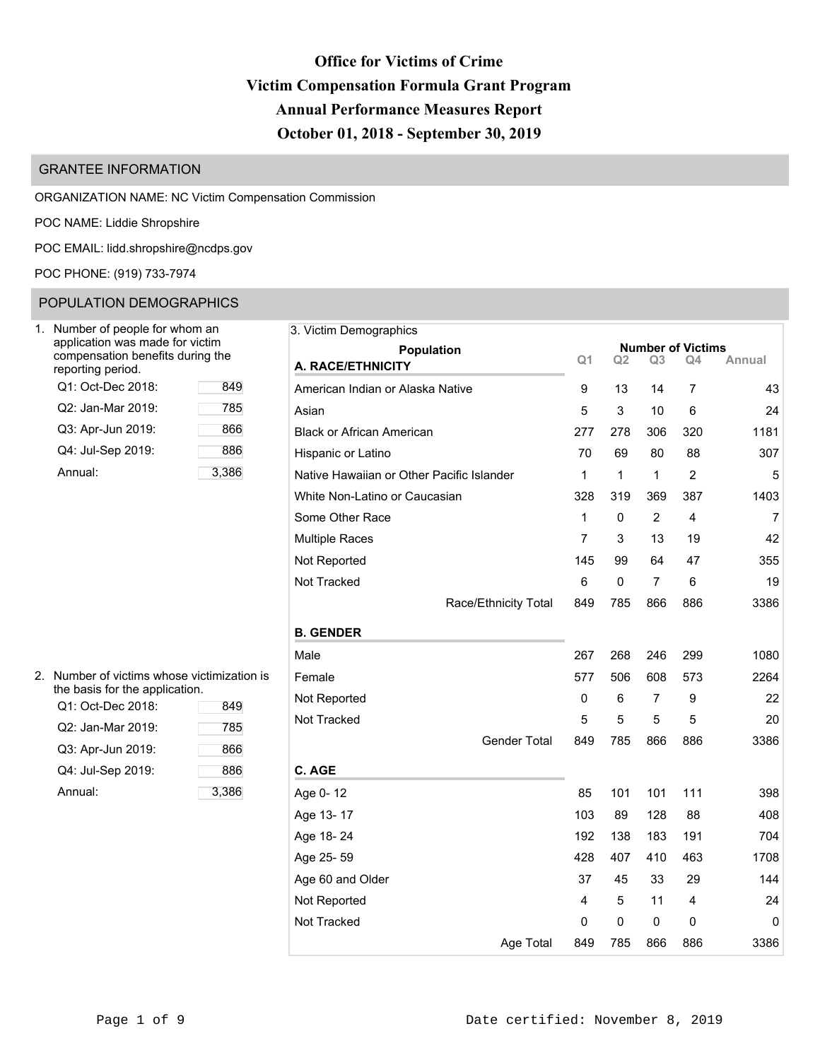## **Office for Victims of Crime Victim Compensation Formula Grant Program Annual Performance Measures Report October 01, 2018 - September 30, 2019**

### GRANTEE INFORMATION

ORGANIZATION NAME: NC Victim Compensation Commission

POC NAME: Liddie Shropshire

POC EMAIL: [lidd.shropshire@ncdps.gov](mailto:lidd.shropshire@ncdps.gov)

POC PHONE: (919) 733-7974

### POPULATION DEMOGRAPHICS

| Number of people for whom an<br>application was made for victim<br>compensation benefits during the<br>reporting period. |       |  |  |  |  |  |  |  |  |  |  |
|--------------------------------------------------------------------------------------------------------------------------|-------|--|--|--|--|--|--|--|--|--|--|
| Q1: Oct-Dec 2018:                                                                                                        | 849   |  |  |  |  |  |  |  |  |  |  |
| Q2: Jan-Mar 2019:                                                                                                        | 785   |  |  |  |  |  |  |  |  |  |  |
| Q3: Apr-Jun 2019:                                                                                                        | 866   |  |  |  |  |  |  |  |  |  |  |
| Q4: Jul-Sep 2019:                                                                                                        | 886   |  |  |  |  |  |  |  |  |  |  |
| Annual:                                                                                                                  | 3.386 |  |  |  |  |  |  |  |  |  |  |

| 3. Victim Demographics                    |                |           |                |                                |        |
|-------------------------------------------|----------------|-----------|----------------|--------------------------------|--------|
| Population                                | Q <sub>1</sub> | Q2        | Q3             | <b>Number of Victims</b><br>Q4 | Annual |
| A. RACE/ETHNICITY                         |                |           |                |                                |        |
| American Indian or Alaska Native          | 9              | 13        | 14             | 7                              | 43     |
| Asian                                     | 5              | 3         | 10             | 6                              | 24     |
| <b>Black or African American</b>          | 277            | 278       | 306            | 320                            | 1181   |
| Hispanic or Latino                        | 70             | 69        | 80             | 88                             | 307    |
| Native Hawaiian or Other Pacific Islander | 1              | 1         | 1              | 2                              | 5      |
| White Non-Latino or Caucasian             | 328            | 319       | 369            | 387                            | 1403   |
| Some Other Race                           | 1              | 0         | $\overline{2}$ | 4                              | 7      |
| <b>Multiple Races</b>                     | 7              | 3         | 13             | 19                             | 42     |
| Not Reported                              | 145            | 99        | 64             | 47                             | 355    |
| Not Tracked                               | 6              | $\pmb{0}$ | $\overline{7}$ | 6                              | 19     |
| Race/Ethnicity Total                      | 849            | 785       | 866            | 886                            | 3386   |
| <b>B. GENDER</b>                          |                |           |                |                                |        |
| Male                                      | 267            | 268       | 246            | 299                            | 1080   |
| Female                                    | 577            | 506       | 608            | 573                            | 2264   |
| Not Reported                              | 0              | 6         | 7              | 9                              | 22     |
| Not Tracked                               | 5              | 5         | 5              | 5                              | 20     |
| <b>Gender Total</b>                       | 849            | 785       | 866            | 886                            | 3386   |
| C. AGE                                    |                |           |                |                                |        |
| Age 0-12                                  | 85             | 101       | 101            | 111                            | 398    |
| Age 13-17                                 | 103            | 89        | 128            | 88                             | 408    |
| Age 18-24                                 | 192            | 138       | 183            | 191                            | 704    |
| Age 25-59                                 | 428            | 407       | 410            | 463                            | 1708   |
| Age 60 and Older                          | 37             | 45        | 33             | 29                             | 144    |
| Not Reported                              | 4              | 5         | 11             | 4                              | 24     |
| Not Tracked                               | 0              | 0         | 0              | 0                              | 0      |
| Age Total                                 | 849            | 785       | 866            | 886                            | 3386   |

| 2. Number of victims whose victimization is |
|---------------------------------------------|
| the basis for the application.              |

| Q1: Oct-Dec 2018: | 849   |
|-------------------|-------|
| Q2: Jan-Mar 2019: | 785   |
| Q3: Apr-Jun 2019: | 866   |
| Q4: Jul-Sep 2019: | 886   |
| Annual:           | 3,386 |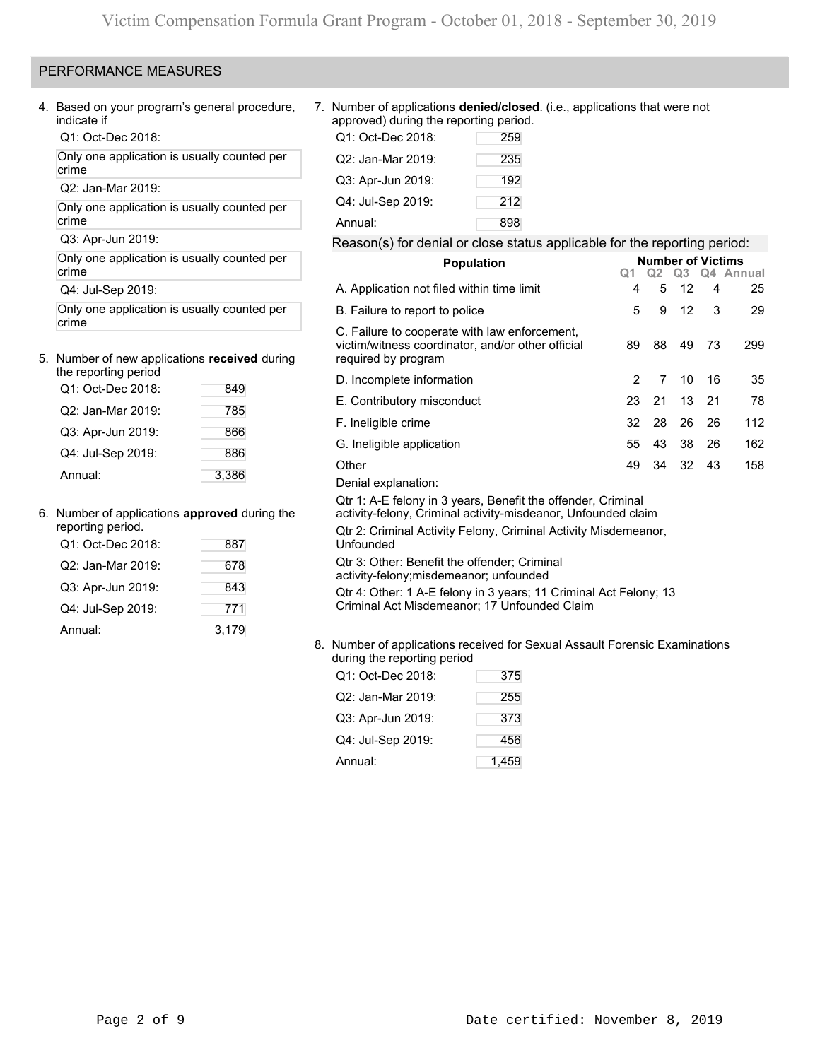### PERFORMANCE MEASURES

4. Based on your program's general procedure, indicate if

Q1: Oct-Dec 2018:

Only one application is usually counted per crime

Q2: Jan-Mar 2019:

Only one application is usually counted per crime

Q3: Apr-Jun 2019:

Only one application is usually counted per crime

Q4: Jul-Sep 2019:

Only one application is usually counted per crime

## 5. Number of new applications **received** during

| the reporting period |       |
|----------------------|-------|
| Q1: Oct-Dec 2018:    | 849   |
| Q2: Jan-Mar 2019:    | 785   |
| Q3: Apr-Jun 2019:    | 866   |
| Q4: Jul-Sep 2019:    | 886   |
| Annual:              | 3,386 |

### 6. Number of applications **approved** during the

| reporting period. |       |
|-------------------|-------|
| Q1: Oct-Dec 2018: | 887   |
| Q2: Jan-Mar 2019: | 678   |
| Q3: Apr-Jun 2019: | 843   |
| Q4: Jul-Sep 2019: | 771   |
| Annual:           | 3,179 |

### 7. Number of applications **denied/closed**. (i.e., applications that were not approved) during the reporting period.

| Q1: Oct-Dec 2018: | 259 |
|-------------------|-----|
| Q2: Jan-Mar 2019: | 235 |
| Q3: Apr-Jun 2019: | 192 |
| Q4: Jul-Sep 2019: | 212 |
| Annual:           | 898 |

### Reason(s) for denial or close status applicable for the reporting period:

| <b>Population</b>                                                                                                             | <b>Number of Victims</b> |      |      |    |           |  |  |  |  |  |
|-------------------------------------------------------------------------------------------------------------------------------|--------------------------|------|------|----|-----------|--|--|--|--|--|
|                                                                                                                               | Q1                       | Q2 - | Q3 — |    | Q4 Annual |  |  |  |  |  |
| A. Application not filed within time limit                                                                                    | 4                        | 5    | 12   | 4  | 25        |  |  |  |  |  |
| B. Failure to report to police                                                                                                | 5                        | 9    | 12   | 3  | 29        |  |  |  |  |  |
| C. Failure to cooperate with law enforcement,<br>victim/witness coordinator, and/or other official<br>required by program     | 89                       | 88   | 49   | 73 | 299       |  |  |  |  |  |
| D. Incomplete information                                                                                                     | 2                        | 7    | 10   | 16 | 35        |  |  |  |  |  |
| E. Contributory misconduct                                                                                                    | 23                       | 21   | 13   | 21 | 78        |  |  |  |  |  |
| F. Ineligible crime                                                                                                           | 32                       | 28   | 26   | 26 | 112       |  |  |  |  |  |
| G. Ineligible application                                                                                                     | 55                       | 43   | 38   | 26 | 162       |  |  |  |  |  |
| Other                                                                                                                         | 49                       | 34   | 32   | 43 | 158       |  |  |  |  |  |
| Denial explanation:                                                                                                           |                          |      |      |    |           |  |  |  |  |  |
| Qtr 1: A-E felony in 3 years, Benefit the offender, Criminal<br>activity-felony, Criminal activity-misdeanor, Unfounded claim |                          |      |      |    |           |  |  |  |  |  |
| Qtr 2: Criminal Activity Felony, Criminal Activity Misdemeanor,<br>Unfounded                                                  |                          |      |      |    |           |  |  |  |  |  |
| Qtr 3: Other: Benefit the offender; Criminal<br>activity-felony; misdemeanor; unfounded                                       |                          |      |      |    |           |  |  |  |  |  |
| Qtr 4: Other: 1 A-E felony in 3 years; 11 Criminal Act Felony; 13<br>Criminal Act Misdemeanor; 17 Unfounded Claim             |                          |      |      |    |           |  |  |  |  |  |

### 8. Number of applications received for Sexual Assault Forensic Examinations during the reporting period

| Q1: Oct-Dec 2018: | 375   |
|-------------------|-------|
| Q2: Jan-Mar 2019: | 255   |
| Q3: Apr-Jun 2019: | 373   |
| Q4: Jul-Sep 2019: | 456   |
| Annual:           | 1,459 |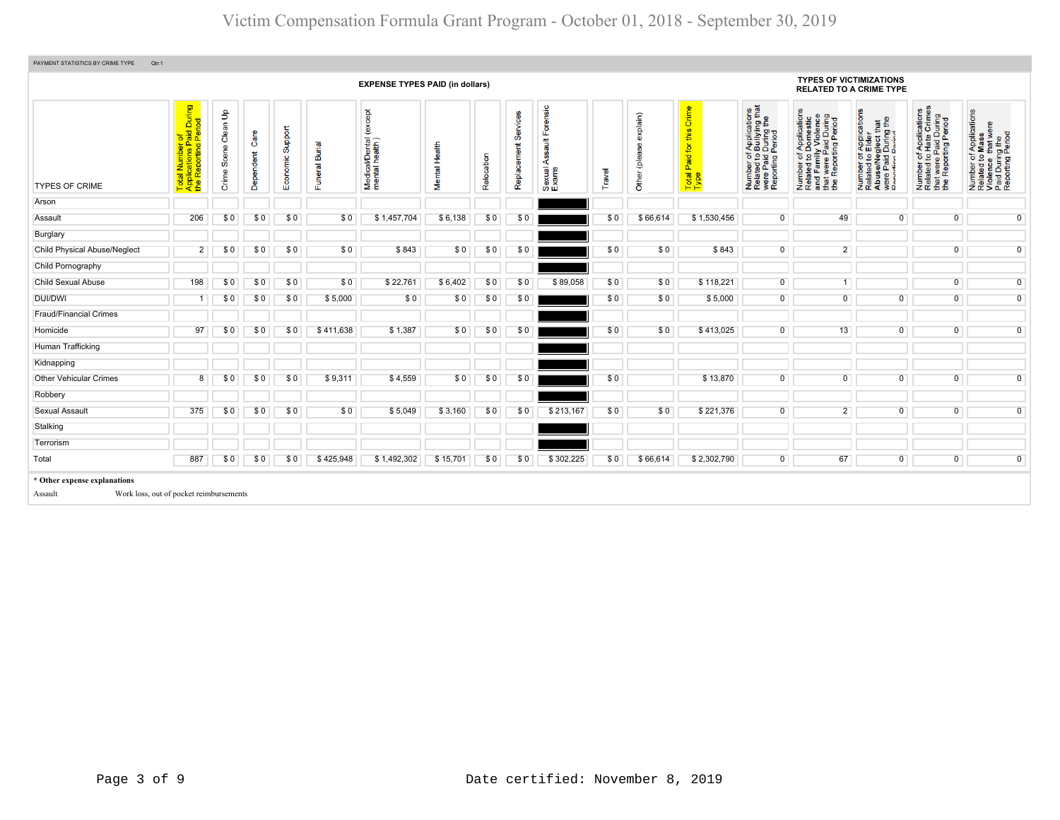# Victim Compensation Formula Grant Program - October 01, 2018 - September 30, 2019

|                                                                         |                                                                                                                                 |                            |                    |                  |                | <b>EXPENSE TYPES PAID (in dollars)</b>       |               |            |                         |                                                           |        |                              |                                         |                                                                                                                                        | <b>TYPES OF VICTIMIZATIONS</b>                                                                                        | <b>RELATED TO A CRIME TYPE</b>                                                                                                                                                                          |                                                                                                                                |                                                                                                        |
|-------------------------------------------------------------------------|---------------------------------------------------------------------------------------------------------------------------------|----------------------------|--------------------|------------------|----------------|----------------------------------------------|---------------|------------|-------------------------|-----------------------------------------------------------|--------|------------------------------|-----------------------------------------|----------------------------------------------------------------------------------------------------------------------------------------|-----------------------------------------------------------------------------------------------------------------------|---------------------------------------------------------------------------------------------------------------------------------------------------------------------------------------------------------|--------------------------------------------------------------------------------------------------------------------------------|--------------------------------------------------------------------------------------------------------|
| <b>TYPES OF CRIME</b>                                                   | During<br>iod<br>to aller<br>paid<br>paid<br>Æαγ<br>Reporting<br>Numbe<br>cations<br>$\overline{\mathfrak{w}}$ :<br>Tota<br>App | Clean Up<br>Scene<br>Crime | O<br>ndent<br>Depe | Economic Support | Funeral Burial | except<br>Medical/Dental (<br>mental health) | Mental Health | Relocation | Services<br>Replacement | Forensic<br>$\frac{4}{10}$<br>တ္တ<br>⋖<br>Sexual<br>Exams | Travel | explain)<br>இ<br>Other (plea | this Crime<br>Paid for<br>Total<br>Type | f Applications<br>b Bullying that<br>I During the<br>Period<br>Number of <i>A</i><br>Related to <b>B</b><br>were Paid L<br>Reporting P | Number of Applications<br>Related to Domestic<br>and Family Violence<br>that were Paid During<br>the Reporting Period | r Applications<br>Elder<br>that<br>g the<br>glect th<br>During<br>Period<br>per of <i>I</i><br>ted to <b>E</b><br>se/Neg<br>Paid L<br>Paid L<br>Number<br>Related t<br>Abuse/N<br>were Pai<br>Reporting | f Applications<br>Hate Crimes<br>were Paid During<br>Reporting Period<br>$\frac{1}{2}$<br>Number<br>Related t<br>that<br>the I | Number of Applications<br>Related to Mass<br>Violence that were<br>Paid During the<br>Reporting Period |
| Arson                                                                   |                                                                                                                                 |                            |                    |                  |                |                                              |               |            |                         |                                                           |        |                              |                                         |                                                                                                                                        |                                                                                                                       |                                                                                                                                                                                                         |                                                                                                                                |                                                                                                        |
| Assault                                                                 | 206                                                                                                                             | \$0                        | \$0                | \$0              | \$0            | \$1,457,704                                  | \$6,138       | \$0        | \$0                     |                                                           | \$0    | \$66,614                     | \$1,530,456                             | $\overline{0}$                                                                                                                         | 49                                                                                                                    | $\overline{0}$                                                                                                                                                                                          | $\overline{0}$                                                                                                                 | $\overline{0}$                                                                                         |
| Burglary                                                                |                                                                                                                                 |                            |                    |                  |                |                                              |               |            |                         |                                                           |        |                              |                                         |                                                                                                                                        |                                                                                                                       |                                                                                                                                                                                                         |                                                                                                                                |                                                                                                        |
| Child Physical Abuse/Neglect                                            | $2^{\circ}$                                                                                                                     | \$0                        | \$0                | SO.              | \$0            | \$843                                        | \$0           | \$0        | \$0                     |                                                           | \$0    | \$0                          | \$843                                   | $\overline{0}$                                                                                                                         | $\overline{2}$                                                                                                        |                                                                                                                                                                                                         | 0                                                                                                                              | $\overline{0}$                                                                                         |
| Child Pornography                                                       |                                                                                                                                 |                            |                    |                  |                |                                              |               |            |                         |                                                           |        |                              |                                         |                                                                                                                                        |                                                                                                                       |                                                                                                                                                                                                         |                                                                                                                                |                                                                                                        |
| <b>Child Sexual Abuse</b>                                               | 198                                                                                                                             | \$0                        | \$0                | SO.              | \$0            | \$22,761                                     | \$6,402       | \$0        | \$0                     | \$89,058                                                  | \$0    | \$0                          | \$118,221                               | $\overline{0}$                                                                                                                         | 1                                                                                                                     |                                                                                                                                                                                                         | $\overline{0}$                                                                                                                 | $\overline{0}$                                                                                         |
| <b>DUI/DWI</b>                                                          |                                                                                                                                 | \$0                        | \$0                | \$0              | \$5,000        | \$0                                          | \$0           | \$0        | \$0                     |                                                           | \$0    | \$0                          | \$5,000                                 | $\overline{0}$                                                                                                                         | $\overline{0}$                                                                                                        | $\overline{0}$                                                                                                                                                                                          | $\overline{0}$                                                                                                                 | $\overline{0}$                                                                                         |
| <b>Fraud/Financial Crimes</b>                                           |                                                                                                                                 |                            |                    |                  |                |                                              |               |            |                         |                                                           |        |                              |                                         |                                                                                                                                        |                                                                                                                       |                                                                                                                                                                                                         |                                                                                                                                |                                                                                                        |
| Homicide                                                                | 97                                                                                                                              | \$0                        | \$0                | SO.              | \$411,638      | \$1,387                                      | \$0           | \$0        | \$0                     |                                                           | \$0    | \$0                          | \$413,025                               | $\overline{0}$                                                                                                                         | 13                                                                                                                    | $\overline{0}$                                                                                                                                                                                          | $\overline{0}$                                                                                                                 | $\overline{0}$                                                                                         |
| Human Trafficking                                                       |                                                                                                                                 |                            |                    |                  |                |                                              |               |            |                         |                                                           |        |                              |                                         |                                                                                                                                        |                                                                                                                       |                                                                                                                                                                                                         |                                                                                                                                |                                                                                                        |
| Kidnapping                                                              |                                                                                                                                 |                            |                    |                  |                |                                              |               |            |                         |                                                           |        |                              |                                         |                                                                                                                                        |                                                                                                                       |                                                                                                                                                                                                         |                                                                                                                                |                                                                                                        |
| <b>Other Vehicular Crimes</b>                                           | 8                                                                                                                               | \$0                        | \$0                | \$0              | \$9,311        | \$4,559                                      | \$0           | \$0        | \$0                     |                                                           | \$0    |                              | \$13,870                                | $\overline{0}$                                                                                                                         | $\overline{0}$                                                                                                        | $\overline{0}$                                                                                                                                                                                          | $\overline{0}$                                                                                                                 | $\overline{0}$                                                                                         |
| Robbery                                                                 |                                                                                                                                 |                            |                    |                  |                |                                              |               |            |                         |                                                           |        |                              |                                         |                                                                                                                                        |                                                                                                                       |                                                                                                                                                                                                         |                                                                                                                                |                                                                                                        |
| <b>Sexual Assault</b>                                                   | 375                                                                                                                             | \$0                        | \$0                | \$0              | \$0            | \$5,049                                      | \$3,160       | \$0        | \$0                     | \$213,167                                                 | \$0    | \$0                          | \$221,376                               | $\overline{0}$                                                                                                                         | $\overline{2}$                                                                                                        | $\overline{0}$                                                                                                                                                                                          | $\overline{0}$                                                                                                                 | $\overline{0}$                                                                                         |
| Stalking                                                                |                                                                                                                                 |                            |                    |                  |                |                                              |               |            |                         |                                                           |        |                              |                                         |                                                                                                                                        |                                                                                                                       |                                                                                                                                                                                                         |                                                                                                                                |                                                                                                        |
| Terrorism                                                               |                                                                                                                                 |                            |                    |                  |                |                                              |               |            |                         |                                                           |        |                              |                                         |                                                                                                                                        |                                                                                                                       |                                                                                                                                                                                                         |                                                                                                                                |                                                                                                        |
| Total                                                                   | 887                                                                                                                             | \$0                        | \$0                | \$0              | \$425,948      | \$1,492,302                                  | \$15,701      | \$0        | \$0                     | \$302,225                                                 | \$0    | \$66,614                     | \$2,302,790                             | $\overline{0}$                                                                                                                         | 67                                                                                                                    | $\overline{0}$                                                                                                                                                                                          | $\overline{0}$                                                                                                                 | $\overline{0}$                                                                                         |
| * Other expense explanations<br>Work loss, out of pocket reimbursements |                                                                                                                                 |                            |                    |                  |                |                                              |               |            |                         |                                                           |        |                              |                                         |                                                                                                                                        |                                                                                                                       |                                                                                                                                                                                                         |                                                                                                                                |                                                                                                        |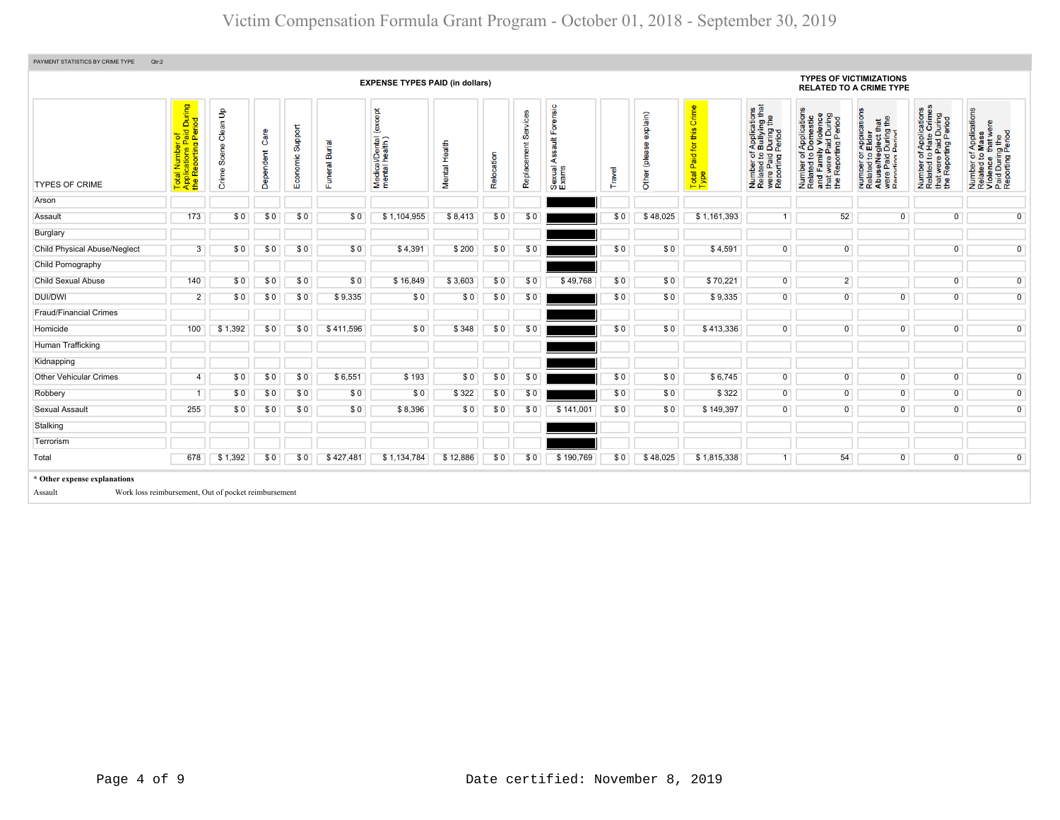| PAYMENT STATISTICS BY CRIME TYPE        | Qtr:2                                                                                      |                             |                       |                     |                          |                                              |               |            |                            |                                                    |        |                           |                                                            |                                                                                                                                                                  |                                                                                                                                                                    |                                                                                                                                                                               |                                                                                                                                         |                                                                                                        |
|-----------------------------------------|--------------------------------------------------------------------------------------------|-----------------------------|-----------------------|---------------------|--------------------------|----------------------------------------------|---------------|------------|----------------------------|----------------------------------------------------|--------|---------------------------|------------------------------------------------------------|------------------------------------------------------------------------------------------------------------------------------------------------------------------|--------------------------------------------------------------------------------------------------------------------------------------------------------------------|-------------------------------------------------------------------------------------------------------------------------------------------------------------------------------|-----------------------------------------------------------------------------------------------------------------------------------------|--------------------------------------------------------------------------------------------------------|
|                                         |                                                                                            |                             |                       |                     |                          | <b>EXPENSE TYPES PAID (in dollars)</b>       |               |            |                            |                                                    |        |                           |                                                            |                                                                                                                                                                  | <b>TYPES OF VICTIMIZATIONS</b><br><b>RELATED TO A CRIME TYPE</b>                                                                                                   |                                                                                                                                                                               |                                                                                                                                         |                                                                                                        |
| <b>TYPES OF CRIME</b>                   | During<br>iod<br>of<br>aid<br>Peri<br>Total Number o<br>Applications Pa<br>the Reporting P | Clean Up<br>Scene<br>Crime: | are<br>Ő<br>Dependent | Support<br>Economic | Burial<br>eral<br>s<br>ш | except<br>Medical/Dental (<br>mental health) | Mental Health | Relocation | vices<br>တီ<br>Replacement | Forensic<br>$\frac{4}{10}$<br>∢<br>Sexual<br>Exams | Travel | explain)<br>Other (please | Crime<br>this<br>for<br>Paid <sub>1</sub><br>Total<br>Type | f Applications<br>b Bullying that<br>I During the<br>Period<br>Number of /<br>Related to <b>E</b><br>were Paid L<br>Reporting P<br>Number<br>Related<br>were Pai | f Applications<br>Domestic<br>ly Violence<br>Number of Applications<br>Related to Domestic<br>and Family Violence<br>that were Paid During<br>the Reporting Period | r Applications<br>b Elder<br>aglect that<br>I During the<br>Period<br>per or<br>ed to I<br>Paid I<br>Paid I<br>fring F<br>Number<br>Related<br>AbuseM<br>were Pai<br>Reportin | mber of Applications<br>lated to Hate Crimes<br>at were Paid During<br>9 Reporting Period<br>Number<br>Related<br>that were<br>the Repo | Number of Applications<br>Related to Mass<br>Violence that were<br>Paid During the<br>Reporting Period |
| Arson                                   |                                                                                            |                             |                       |                     |                          |                                              |               |            |                            |                                                    |        |                           |                                                            |                                                                                                                                                                  |                                                                                                                                                                    |                                                                                                                                                                               |                                                                                                                                         |                                                                                                        |
| Assault                                 | 173                                                                                        | \$0                         | \$0                   | \$0                 | \$0                      | \$1,104,955                                  | \$8,413       | \$0        | \$0                        |                                                    | \$0    | \$48,025                  | \$1,161,393                                                | $\overline{1}$                                                                                                                                                   | 52                                                                                                                                                                 | $\mathbf{0}$                                                                                                                                                                  | $\mathbf 0$                                                                                                                             | $\overline{0}$                                                                                         |
| Burglary                                |                                                                                            |                             |                       |                     |                          |                                              |               |            |                            |                                                    |        |                           |                                                            |                                                                                                                                                                  |                                                                                                                                                                    |                                                                                                                                                                               |                                                                                                                                         |                                                                                                        |
| <b>Child Physical Abuse/Neglect</b>     | 3                                                                                          | \$0                         | \$0                   | \$0                 | \$0                      | \$4,391                                      | \$200         | \$0        | \$0                        |                                                    | \$0    | \$0                       | \$4,591                                                    | $\overline{0}$                                                                                                                                                   | $\overline{0}$                                                                                                                                                     |                                                                                                                                                                               | $\overline{0}$                                                                                                                          | $\overline{0}$                                                                                         |
| Child Pornography                       |                                                                                            |                             |                       |                     |                          |                                              |               |            |                            |                                                    |        |                           |                                                            |                                                                                                                                                                  |                                                                                                                                                                    |                                                                                                                                                                               |                                                                                                                                         |                                                                                                        |
| <b>Child Sexual Abuse</b>               | 140                                                                                        | \$0                         | \$0                   | \$0                 | \$0                      | \$16,849                                     | \$3,603       | \$0        | \$0                        | \$49,768                                           | \$0    | \$0                       | \$70,221                                                   | $\overline{0}$                                                                                                                                                   | $\overline{2}$                                                                                                                                                     |                                                                                                                                                                               | $\mathbf 0$                                                                                                                             | $\overline{0}$                                                                                         |
| DUI/DWI                                 | $\overline{2}$                                                                             | \$0                         | \$0                   | \$0                 | \$9,335                  | \$0                                          | \$0           | \$0        | \$0                        |                                                    | \$0    | \$0                       | \$9,335                                                    | $\overline{0}$                                                                                                                                                   | $\overline{0}$                                                                                                                                                     | $\overline{0}$                                                                                                                                                                | $\overline{0}$                                                                                                                          | $\overline{0}$                                                                                         |
| <b>Fraud/Financial Crimes</b>           |                                                                                            |                             |                       |                     |                          |                                              |               |            |                            |                                                    |        |                           |                                                            |                                                                                                                                                                  |                                                                                                                                                                    |                                                                                                                                                                               |                                                                                                                                         |                                                                                                        |
| Homicide                                | 100                                                                                        | \$1,392                     | \$0                   | \$0                 | \$411,596                | \$0                                          | \$348         | \$0        | \$0                        |                                                    | \$0    | \$0                       | \$413,336                                                  | $\overline{0}$                                                                                                                                                   | $\overline{0}$                                                                                                                                                     | $\overline{0}$                                                                                                                                                                | $\overline{0}$                                                                                                                          | $\overline{0}$                                                                                         |
| Human Trafficking                       |                                                                                            |                             |                       |                     |                          |                                              |               |            |                            |                                                    |        |                           |                                                            |                                                                                                                                                                  |                                                                                                                                                                    |                                                                                                                                                                               |                                                                                                                                         |                                                                                                        |
| Kidnapping                              |                                                                                            |                             |                       |                     |                          |                                              |               |            |                            |                                                    |        |                           |                                                            |                                                                                                                                                                  |                                                                                                                                                                    |                                                                                                                                                                               |                                                                                                                                         |                                                                                                        |
| <b>Other Vehicular Crimes</b>           | 4                                                                                          | \$0                         | \$0                   | \$0                 | \$6,551                  | \$193                                        | \$0           | \$0        | \$0                        |                                                    | \$0    | \$0                       | \$6,745                                                    | $\overline{0}$                                                                                                                                                   | $\overline{0}$                                                                                                                                                     | $\overline{0}$                                                                                                                                                                | $\overline{0}$                                                                                                                          | $\overline{0}$                                                                                         |
| Robbery                                 |                                                                                            | \$0                         | \$0                   | \$0                 | \$0                      | \$0                                          | \$322         | \$0        | \$0                        |                                                    | \$0    | \$0                       | \$322                                                      | $\overline{0}$                                                                                                                                                   | $\overline{0}$                                                                                                                                                     | $\overline{0}$                                                                                                                                                                | $\overline{0}$                                                                                                                          | $\overline{0}$                                                                                         |
| Sexual Assault                          | 255                                                                                        | \$0                         | \$0                   | \$0                 | \$0                      | \$8,396                                      | \$0           | \$0        | \$0                        | \$141,001                                          | \$0    | \$0                       | \$149,397                                                  | $\overline{0}$                                                                                                                                                   | $\overline{0}$                                                                                                                                                     | $\overline{0}$                                                                                                                                                                | $\overline{0}$                                                                                                                          | $\overline{0}$                                                                                         |
| Stalking                                |                                                                                            |                             |                       |                     |                          |                                              |               |            |                            |                                                    |        |                           |                                                            |                                                                                                                                                                  |                                                                                                                                                                    |                                                                                                                                                                               |                                                                                                                                         |                                                                                                        |
| Terrorism                               |                                                                                            |                             |                       |                     |                          |                                              |               |            |                            |                                                    |        |                           |                                                            |                                                                                                                                                                  |                                                                                                                                                                    |                                                                                                                                                                               |                                                                                                                                         |                                                                                                        |
| Total                                   | 678                                                                                        | \$1,392                     | \$0                   | \$0                 | \$427,481                | \$1,134,784                                  | \$12,886      | \$0        | \$0                        | \$190,769                                          | \$0    | \$48,025                  | \$1,815,338                                                | 1                                                                                                                                                                | 54                                                                                                                                                                 | $\overline{0}$                                                                                                                                                                | $\overline{0}$                                                                                                                          | $\overline{0}$                                                                                         |
| * Other expense explanations<br>Assault | Work loss reimbursement, Out of pocket reimbursement                                       |                             |                       |                     |                          |                                              |               |            |                            |                                                    |        |                           |                                                            |                                                                                                                                                                  |                                                                                                                                                                    |                                                                                                                                                                               |                                                                                                                                         |                                                                                                        |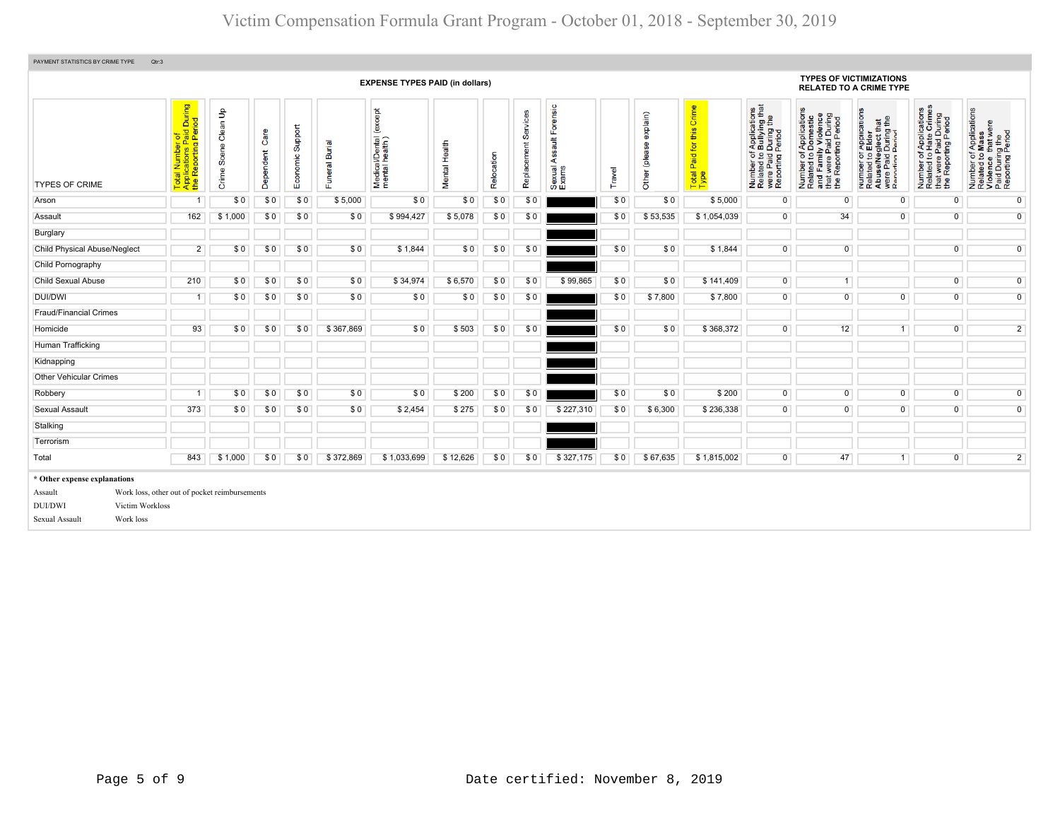| PAYMENT STATISTICS BY CRIME TYPE                                                                            | Qtr:3                                                                                                      |                            |                   |                      |                          |                                               |               |            |                         |                                            |        |                           |                                            |                                                                                                |                                                                                                                                                                         |                                                                                                                                                          |                                                                                                                                   |                                                                                                        |
|-------------------------------------------------------------------------------------------------------------|------------------------------------------------------------------------------------------------------------|----------------------------|-------------------|----------------------|--------------------------|-----------------------------------------------|---------------|------------|-------------------------|--------------------------------------------|--------|---------------------------|--------------------------------------------|------------------------------------------------------------------------------------------------|-------------------------------------------------------------------------------------------------------------------------------------------------------------------------|----------------------------------------------------------------------------------------------------------------------------------------------------------|-----------------------------------------------------------------------------------------------------------------------------------|--------------------------------------------------------------------------------------------------------|
|                                                                                                             | <b>TYPES OF VICTIMIZATIONS</b><br><b>EXPENSE TYPES PAID (in dollars)</b><br><b>RELATED TO A CRIME TYPE</b> |                            |                   |                      |                          |                                               |               |            |                         |                                            |        |                           |                                            |                                                                                                |                                                                                                                                                                         |                                                                                                                                                          |                                                                                                                                   |                                                                                                        |
| <b>TYPES OF CRIME</b>                                                                                       | of<br>Paid During<br>Period<br>al Number o<br>plications Pa<br>Reporting F<br>Total<br>Applic<br>the R     | Clean Up<br>Scene<br>Crime | Care<br>Dependent | Support<br>Economic: | <b>Burial</b><br>Funeral | (except<br>Medical/Dental (<br>mental health) | Mental Health | Relocation | Services<br>Replacement | Forensic<br>ssault<br>⋖<br>Sexual<br>Exams | Travel | explain)<br>Other (please | Crime<br>this<br>Paid for<br>Total<br>Type | Number of Applications<br>Related to Bullying that<br>were Paid During the<br>Reporting Period | f Applications<br>Domestic<br>ly Violence<br>o.<br>Number of Application<br>Related to Domestic<br>and Family Violence<br>that were Paid During<br>the Reporting Period | T Applications<br>b Elder<br>sglect that<br>During the<br>Pariod<br>Number of <i>I</i><br>Related to <b>E</b><br>Abuse/Neg<br>were Paid L<br>Reporting P | mber of Applications<br>lated to Hate Crimes<br>at were Paid During<br>9 Reporting Period<br>Number<br>Related t<br>$\frac{1}{2}$ | Number of Applications<br>Related to Mass<br>Violence that were<br>Paid During the<br>Reporting Period |
| Arson                                                                                                       |                                                                                                            | \$0                        | \$0               | \$0                  | \$5,000                  | \$0                                           | \$0           | \$0        | \$0                     |                                            | \$0    | \$0                       | \$5,000                                    | $\overline{0}$                                                                                 | $\mathbf 0$                                                                                                                                                             | 0                                                                                                                                                        | 0                                                                                                                                 | $\overline{0}$                                                                                         |
| Assault                                                                                                     | 162                                                                                                        | \$1,000                    | \$0               | \$0                  | \$0                      | \$994,427                                     | \$5,078       | \$0        | \$0                     |                                            | \$0    | \$53,535                  | \$1,054,039                                | $\overline{0}$                                                                                 | 34                                                                                                                                                                      | $\overline{0}$                                                                                                                                           | $\overline{0}$                                                                                                                    | $\overline{0}$                                                                                         |
| Burglary                                                                                                    |                                                                                                            |                            |                   |                      |                          |                                               |               |            |                         |                                            |        |                           |                                            |                                                                                                |                                                                                                                                                                         |                                                                                                                                                          |                                                                                                                                   |                                                                                                        |
| <b>Child Physical Abuse/Neglect</b>                                                                         | $\overline{2}$                                                                                             | \$0                        | \$0               | \$0                  | \$0                      | \$1,844                                       | \$0           | \$0        | \$0                     |                                            | \$0    | \$0                       | \$1,844                                    | $\overline{0}$                                                                                 | $\overline{0}$                                                                                                                                                          |                                                                                                                                                          | $\overline{0}$                                                                                                                    | $\overline{0}$                                                                                         |
| Child Pornography                                                                                           |                                                                                                            |                            |                   |                      |                          |                                               |               |            |                         |                                            |        |                           |                                            |                                                                                                |                                                                                                                                                                         |                                                                                                                                                          |                                                                                                                                   |                                                                                                        |
| Child Sexual Abuse                                                                                          | 210                                                                                                        | \$0                        | \$0               | \$0                  | \$0                      | \$34,974                                      | \$6,570       | \$0        | \$0                     | \$99,865                                   | \$0    | \$0                       | \$141,409                                  | $\overline{0}$                                                                                 | 1                                                                                                                                                                       |                                                                                                                                                          | $\overline{0}$                                                                                                                    | $\overline{0}$                                                                                         |
| <b>DUI/DWI</b>                                                                                              |                                                                                                            | \$0                        | \$0               | \$0                  | \$0                      | \$0                                           | \$0           | \$0        | \$0                     |                                            | \$0    | \$7,800                   | \$7,800                                    | $\overline{0}$                                                                                 | $\overline{0}$                                                                                                                                                          | $\overline{0}$                                                                                                                                           | $\overline{0}$                                                                                                                    | $\overline{0}$                                                                                         |
| <b>Fraud/Financial Crimes</b>                                                                               |                                                                                                            |                            |                   |                      |                          |                                               |               |            |                         |                                            |        |                           |                                            |                                                                                                |                                                                                                                                                                         |                                                                                                                                                          |                                                                                                                                   |                                                                                                        |
| Homicide                                                                                                    | 93                                                                                                         | \$0                        | \$0               | \$0                  | \$367,869                | \$0                                           | \$503         | \$0        | \$0                     |                                            | \$0    | \$0                       | \$368,372                                  | $\overline{0}$                                                                                 | 12                                                                                                                                                                      | 1                                                                                                                                                        | $\overline{0}$                                                                                                                    | $\overline{2}$                                                                                         |
| Human Trafficking                                                                                           |                                                                                                            |                            |                   |                      |                          |                                               |               |            |                         |                                            |        |                           |                                            |                                                                                                |                                                                                                                                                                         |                                                                                                                                                          |                                                                                                                                   |                                                                                                        |
| Kidnapping                                                                                                  |                                                                                                            |                            |                   |                      |                          |                                               |               |            |                         |                                            |        |                           |                                            |                                                                                                |                                                                                                                                                                         |                                                                                                                                                          |                                                                                                                                   |                                                                                                        |
| <b>Other Vehicular Crimes</b>                                                                               |                                                                                                            |                            |                   |                      |                          |                                               |               |            |                         |                                            |        |                           |                                            |                                                                                                |                                                                                                                                                                         |                                                                                                                                                          |                                                                                                                                   |                                                                                                        |
| Robbery                                                                                                     |                                                                                                            | \$0                        | \$0               | \$0                  | \$0                      | \$0                                           | \$200         | \$0        | \$0                     |                                            | \$0    | \$0                       | \$200                                      | $\overline{0}$                                                                                 | $\overline{0}$                                                                                                                                                          | $\overline{0}$                                                                                                                                           | $\overline{0}$                                                                                                                    | $\overline{0}$                                                                                         |
| Sexual Assault                                                                                              | 373                                                                                                        | \$0                        | \$0               | \$0                  | \$0                      | \$2,454                                       | \$275         | \$0        | \$0                     | \$227,310                                  | \$0    | \$6,300                   | \$236,338                                  | $\overline{0}$                                                                                 | $\overline{0}$                                                                                                                                                          | $\overline{0}$                                                                                                                                           | $\overline{0}$                                                                                                                    | $\overline{0}$                                                                                         |
| Stalking                                                                                                    |                                                                                                            |                            |                   |                      |                          |                                               |               |            |                         |                                            |        |                           |                                            |                                                                                                |                                                                                                                                                                         |                                                                                                                                                          |                                                                                                                                   |                                                                                                        |
| Terrorism                                                                                                   |                                                                                                            |                            |                   |                      |                          |                                               |               |            |                         |                                            |        |                           |                                            |                                                                                                |                                                                                                                                                                         |                                                                                                                                                          |                                                                                                                                   |                                                                                                        |
| Total                                                                                                       | 843                                                                                                        | \$1,000                    | \$0               | \$0                  | \$372,869                | \$1,033,699                                   | \$12,626      | \$0        | \$0                     | \$327,175                                  | \$0    | \$67,635                  | \$1,815,002                                | $\overline{0}$                                                                                 | 47                                                                                                                                                                      | 1                                                                                                                                                        | $\overline{0}$                                                                                                                    | $\overline{2}$                                                                                         |
| * Other expense explanations<br>Assault<br><b>DUI/DWI</b><br>Victim Workloss<br>Work loss<br>Sexual Assault | Work loss, other out of pocket reimbursements                                                              |                            |                   |                      |                          |                                               |               |            |                         |                                            |        |                           |                                            |                                                                                                |                                                                                                                                                                         |                                                                                                                                                          |                                                                                                                                   |                                                                                                        |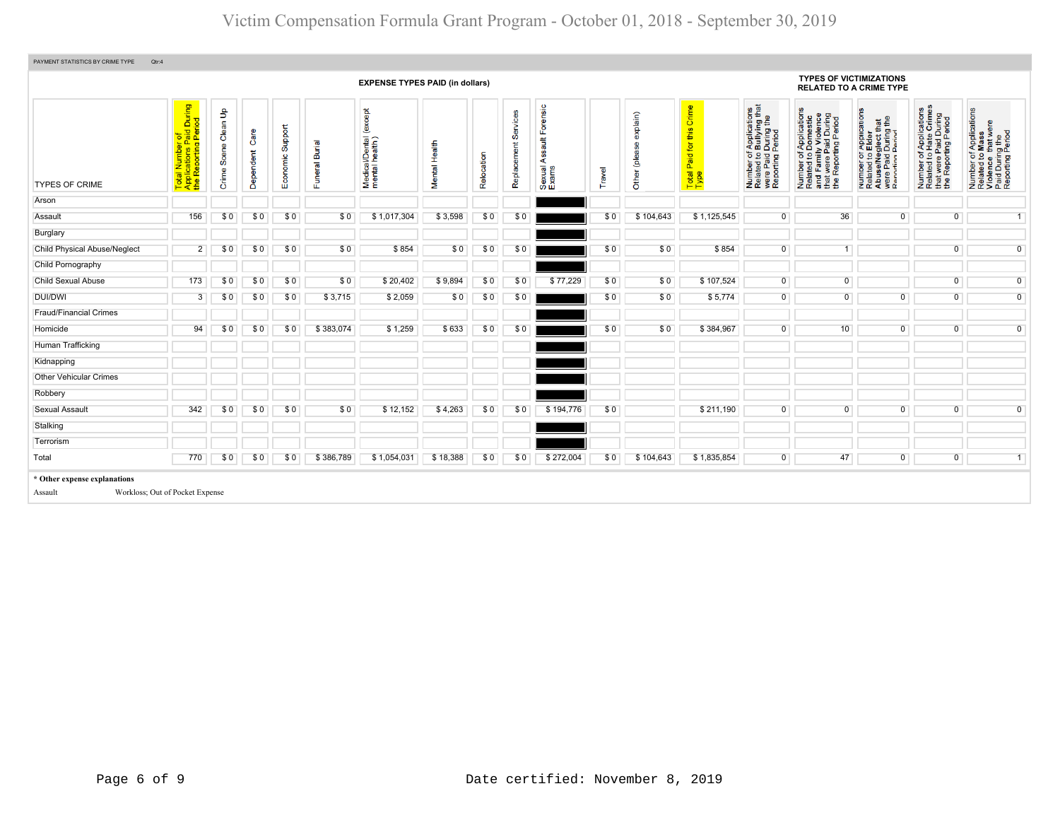| PAYMENT STATISTICS BY CRIME TYPE<br>Qtr:4 |                                                                                      |                         |                   |                     |                            |                                              |               |            |                   |                                                   |       |                       |                                               |                                                                                                                                        |                                                                                                                                                |                                                                                                                                                                                |                                                                                                                           |                                                                                                        |
|-------------------------------------------|--------------------------------------------------------------------------------------|-------------------------|-------------------|---------------------|----------------------------|----------------------------------------------|---------------|------------|-------------------|---------------------------------------------------|-------|-----------------------|-----------------------------------------------|----------------------------------------------------------------------------------------------------------------------------------------|------------------------------------------------------------------------------------------------------------------------------------------------|--------------------------------------------------------------------------------------------------------------------------------------------------------------------------------|---------------------------------------------------------------------------------------------------------------------------|--------------------------------------------------------------------------------------------------------|
| <b>EXPENSE TYPES PAID (in dollars)</b>    |                                                                                      |                         |                   |                     |                            |                                              |               |            |                   |                                                   |       |                       |                                               |                                                                                                                                        | <b>TYPES OF VICTIMIZATIONS</b><br><b>RELATED TO A CRIME TYPE</b>                                                                               |                                                                                                                                                                                |                                                                                                                           |                                                                                                        |
| <b>TYPES OF CRIME</b>                     | id During<br>Period<br>Total Number of<br>Applications Paid I<br>the Reporting Perio | Clean Up<br>Crime Scene | Care<br>Dependent | Support<br>Economic | <b>Euneral Burial</b><br>匹 | except<br>Medical/Dental (<br>mental health) | Mental Health | Relocation | တိ<br>Replacement | orensic<br>$\frac{4}{10}$<br>⋖<br>Sexual<br>Exams | ravel | $\sin$<br>ē<br>ೆ<br>ま | Crime<br>this<br>for<br>Paid<br>Total<br>Type | f Applications<br>b Bullying that<br>I During the<br>Period<br>Number of <i>I</i><br>Related to <b>E</b><br>were Paid L<br>Reporting P | f Applications<br>Domestic<br>ly Violence<br>During<br>iod<br>Paid Dui<br>ting Peri<br>Number of<br>Related to Do<br>and Family<br>"at were Pa | of Applications<br>b Elder<br>aglect that<br>1 During the<br>Period<br>Der of<br>ted to I<br>Paid I<br>Paid I<br>Paid I<br>Number<br>Related<br>AbuseM<br>were Pai<br>Reportin | mber of Applications<br>lated to Hate Crimes<br>tt were Paid During<br>9 Reporting Period<br>Number<br>Related<br>te<br># | Number of Applications<br>Related to Mass<br>Violence that were<br>Paid During the<br>Reporting Period |
| Arson                                     |                                                                                      |                         |                   |                     |                            |                                              |               |            |                   |                                                   |       |                       |                                               |                                                                                                                                        |                                                                                                                                                |                                                                                                                                                                                |                                                                                                                           |                                                                                                        |
| Assault                                   | 156                                                                                  | \$0                     | \$0               | \$0                 | \$0                        | \$1,017,304                                  | \$3,598       | \$0        | \$0               |                                                   | \$0   | \$104,643             | \$1,125,545                                   | $\overline{0}$                                                                                                                         | 36                                                                                                                                             | $\overline{0}$                                                                                                                                                                 | $\overline{0}$                                                                                                            | $\overline{1}$                                                                                         |
| Burglary                                  |                                                                                      |                         |                   |                     |                            |                                              |               |            |                   |                                                   |       |                       |                                               |                                                                                                                                        |                                                                                                                                                |                                                                                                                                                                                |                                                                                                                           |                                                                                                        |
| Child Physical Abuse/Neglect              | $\overline{2}$                                                                       | \$0                     | \$0               | \$0                 | \$0                        | \$854                                        | \$0           | \$0        | \$0               |                                                   | \$0   | \$0                   | \$854                                         | $\overline{0}$                                                                                                                         |                                                                                                                                                |                                                                                                                                                                                | $\mathbf 0$                                                                                                               | $\overline{0}$                                                                                         |
| Child Pornography                         |                                                                                      |                         |                   |                     |                            |                                              |               |            |                   |                                                   |       |                       |                                               |                                                                                                                                        |                                                                                                                                                |                                                                                                                                                                                |                                                                                                                           |                                                                                                        |
| <b>Child Sexual Abuse</b>                 | 173                                                                                  | \$0                     | \$0               | \$0                 | \$0                        | \$20,402                                     | \$9,894       | \$0        | \$0               | \$77,229                                          | \$0   | \$0                   | \$107,524                                     | $\overline{0}$                                                                                                                         | $\overline{0}$                                                                                                                                 |                                                                                                                                                                                | $\overline{0}$                                                                                                            | $\overline{0}$                                                                                         |
| DUI/DWI                                   | 3                                                                                    | \$0                     | \$0               | \$0                 | \$3,715                    | \$2,059                                      | \$0           | \$0        | \$0               |                                                   | \$0   | \$0                   | \$5,774                                       | $\overline{0}$                                                                                                                         | $\overline{0}$                                                                                                                                 | $\overline{0}$                                                                                                                                                                 | $\overline{0}$                                                                                                            | $\mathbf 0$                                                                                            |
| <b>Fraud/Financial Crimes</b>             |                                                                                      |                         |                   |                     |                            |                                              |               |            |                   |                                                   |       |                       |                                               |                                                                                                                                        |                                                                                                                                                |                                                                                                                                                                                |                                                                                                                           |                                                                                                        |
| Homicide                                  | 94                                                                                   | \$0                     | \$0               | \$0                 | \$383,074                  | \$1,259                                      | \$633         | \$0        | \$0               |                                                   | \$0   | \$0                   | \$384,967                                     | $\overline{0}$                                                                                                                         | 10 <sup>1</sup>                                                                                                                                | $\overline{0}$                                                                                                                                                                 | $\overline{0}$                                                                                                            | $\overline{0}$                                                                                         |
| Human Trafficking                         |                                                                                      |                         |                   |                     |                            |                                              |               |            |                   |                                                   |       |                       |                                               |                                                                                                                                        |                                                                                                                                                |                                                                                                                                                                                |                                                                                                                           |                                                                                                        |
| Kidnapping                                |                                                                                      |                         |                   |                     |                            |                                              |               |            |                   |                                                   |       |                       |                                               |                                                                                                                                        |                                                                                                                                                |                                                                                                                                                                                |                                                                                                                           |                                                                                                        |
| <b>Other Vehicular Crimes</b>             |                                                                                      |                         |                   |                     |                            |                                              |               |            |                   |                                                   |       |                       |                                               |                                                                                                                                        |                                                                                                                                                |                                                                                                                                                                                |                                                                                                                           |                                                                                                        |
| Robbery                                   |                                                                                      |                         |                   |                     |                            |                                              |               |            |                   |                                                   |       |                       |                                               |                                                                                                                                        |                                                                                                                                                |                                                                                                                                                                                |                                                                                                                           |                                                                                                        |
| Sexual Assault                            | 342                                                                                  | \$0                     | \$0               | \$0                 | \$0                        | \$12,152                                     | \$4,263       | \$0        | \$0               | \$194,776                                         | \$0   |                       | \$211,190                                     | $\overline{0}$                                                                                                                         | $\overline{0}$                                                                                                                                 | $\overline{0}$                                                                                                                                                                 | $\mathbf{0}$                                                                                                              | $\overline{0}$                                                                                         |
| Stalking                                  |                                                                                      |                         |                   |                     |                            |                                              |               |            |                   |                                                   |       |                       |                                               |                                                                                                                                        |                                                                                                                                                |                                                                                                                                                                                |                                                                                                                           |                                                                                                        |
| Terrorism                                 |                                                                                      |                         |                   |                     |                            |                                              |               |            |                   |                                                   |       |                       |                                               |                                                                                                                                        |                                                                                                                                                |                                                                                                                                                                                |                                                                                                                           |                                                                                                        |
| Total                                     | 770                                                                                  | \$0                     | \$0               | \$0                 | \$386,789                  | \$1,054,031                                  | \$18,388      | \$0        | \$0               | \$272,004                                         | \$0   | \$104,643             | \$1,835,854                                   | $\overline{0}$                                                                                                                         | 47                                                                                                                                             | $\overline{0}$                                                                                                                                                                 | $\overline{0}$                                                                                                            | 1                                                                                                      |
| * Other expense explanations<br>Assault   | Workloss; Out of Pocket Expense                                                      |                         |                   |                     |                            |                                              |               |            |                   |                                                   |       |                       |                                               |                                                                                                                                        |                                                                                                                                                |                                                                                                                                                                                |                                                                                                                           |                                                                                                        |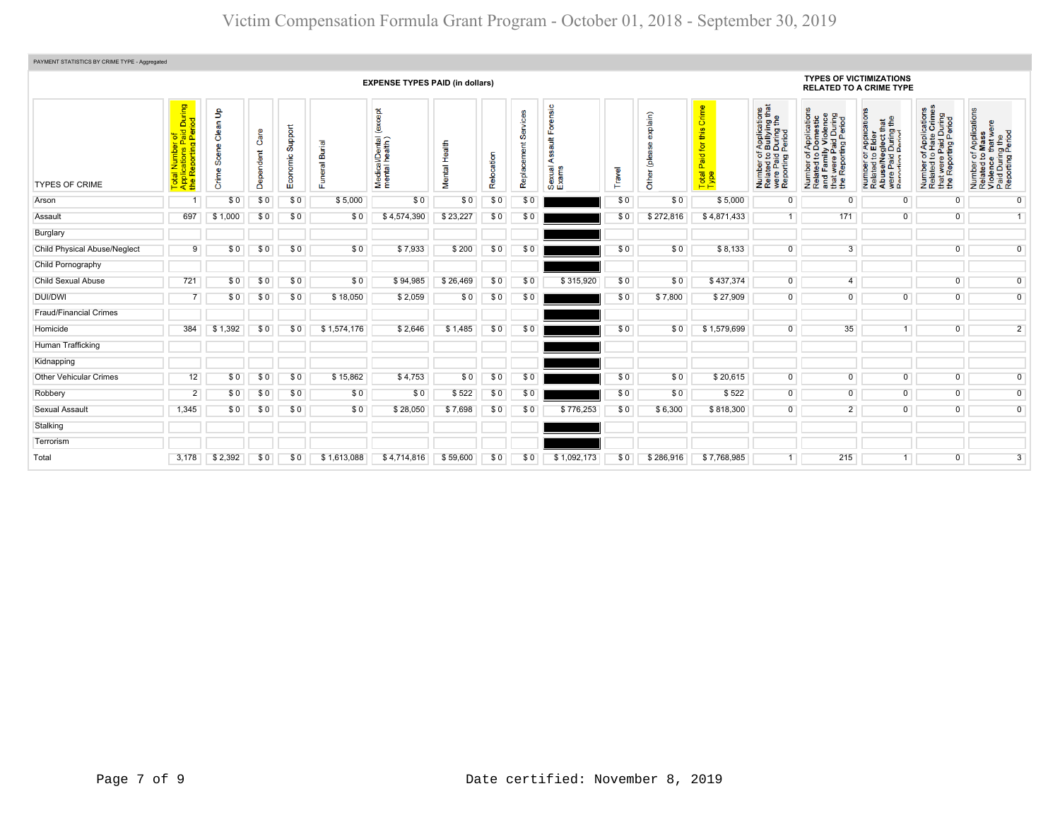| PAYMENT STATISTICS BY CRIME TYPE - Aggregated |                                                                                             |                            |                   |                     |                                           |                                            |                               |            |                  |                                                   |       |                        |                                      |                                                                                                                                    |                                                                                                                                                               |                                                                                                                                                                                         |                                                                                                   |                                                                                                        |  |  |
|-----------------------------------------------|---------------------------------------------------------------------------------------------|----------------------------|-------------------|---------------------|-------------------------------------------|--------------------------------------------|-------------------------------|------------|------------------|---------------------------------------------------|-------|------------------------|--------------------------------------|------------------------------------------------------------------------------------------------------------------------------------|---------------------------------------------------------------------------------------------------------------------------------------------------------------|-----------------------------------------------------------------------------------------------------------------------------------------------------------------------------------------|---------------------------------------------------------------------------------------------------|--------------------------------------------------------------------------------------------------------|--|--|
|                                               | <b>EXPENSE TYPES PAID (in dollars)</b>                                                      |                            |                   |                     |                                           |                                            |                               |            |                  |                                                   |       |                        |                                      |                                                                                                                                    | <b>TYPES OF VICTIMIZATIONS</b><br><b>RELATED TO A CRIME TYPE</b>                                                                                              |                                                                                                                                                                                         |                                                                                                   |                                                                                                        |  |  |
| <b>TYPES OF CRIME</b>                         | During<br>iod<br>Total Number of<br>Applications Paid <mark>I</mark><br>the Reporting Peric | Clean Up<br>Scene<br>Crime | Care<br>Dependent | Support<br>Economic | <b>Burial</b><br>$\overline{\sigma}$<br>ш | except<br>Medical/Dental<br>mental health) | Health<br>Mental <sup>1</sup> | Relocation | Ø<br>Replacement | Forensic<br>$\frac{4}{3}$<br>⋖<br>Sexual<br>Exams | ravel | explain)<br>ق<br>Other | Paid for this Crime<br>Total<br>Type | Applications<br>Bullying that<br>During the<br><b>During</b><br>Period<br>Number of,<br>Related to I<br>were Paid I<br>Reporting F | f Applications<br>Domestic<br>ly Violence<br>Paid During<br>ting Period<br>$\frac{1}{6}$<br>Number of<br>Related to<br>and Famil<br>that were F<br>the Report | TApplications<br>b Elder<br>sglect that<br>During the<br>Period<br>per of<br><b>ad to I</b><br><b>Paid I</b><br>Paid I<br>Number<br>Related<br>Abuse/N<br>$\mathbf{\Phi}$<br>ig<br>Rafi | Number of Applications<br>Related to Hate Crimes<br>that were Paid During<br>the Reporting Period | Number of Applications<br>Related to Mass<br>Violence that were<br>Paid During the<br>Reporting Period |  |  |
| Arson                                         |                                                                                             | \$0                        | \$0               | \$0                 | \$5,000                                   | \$0                                        | \$0                           | \$0        | \$0              |                                                   | \$0   | \$0                    | \$5,000                              | $\mathbf 0$                                                                                                                        | $\Omega$                                                                                                                                                      | $\overline{0}$                                                                                                                                                                          | $\overline{0}$                                                                                    | $\overline{0}$                                                                                         |  |  |
| Assault                                       | 697                                                                                         | \$1,000                    | \$0               | \$0                 | \$0                                       | \$4,574,390                                | \$23,227                      | \$0        | \$0              |                                                   | \$0   | \$272.816              | \$4,871,433                          | 1                                                                                                                                  | 171                                                                                                                                                           | $\overline{0}$                                                                                                                                                                          | $\overline{0}$                                                                                    | $\overline{1}$                                                                                         |  |  |
| Burglary                                      |                                                                                             |                            |                   |                     |                                           |                                            |                               |            |                  |                                                   |       |                        |                                      |                                                                                                                                    |                                                                                                                                                               |                                                                                                                                                                                         |                                                                                                   |                                                                                                        |  |  |
| <b>Child Physical Abuse/Neglect</b>           | 9                                                                                           | \$0                        | \$0               | \$0                 | \$0                                       | \$7,933                                    | \$200                         | \$0        | \$0              |                                                   | \$0   | \$0                    | \$8,133                              | $\mathbf{0}$                                                                                                                       | 3                                                                                                                                                             |                                                                                                                                                                                         | $\Omega$                                                                                          | $\overline{0}$                                                                                         |  |  |
| Child Pornography                             |                                                                                             |                            |                   |                     |                                           |                                            |                               |            |                  |                                                   |       |                        |                                      |                                                                                                                                    |                                                                                                                                                               |                                                                                                                                                                                         |                                                                                                   |                                                                                                        |  |  |
| Child Sexual Abuse                            | 721                                                                                         | \$0                        | \$0               | \$0                 | \$0                                       | \$94,985                                   | \$26,469                      | \$0        | \$0              | \$315,920                                         | \$0   | \$0                    | \$437,374                            | $\overline{0}$                                                                                                                     | $\overline{4}$                                                                                                                                                |                                                                                                                                                                                         | $\overline{0}$                                                                                    | $\overline{0}$                                                                                         |  |  |
| <b>DUI/DWI</b>                                |                                                                                             | \$0                        | \$0               | \$0                 | \$18,050                                  | \$2,059                                    | \$0                           | \$0        | \$0              |                                                   | \$0   | \$7,800                | \$27,909                             | $\overline{0}$                                                                                                                     | $\overline{0}$                                                                                                                                                | $\overline{0}$                                                                                                                                                                          | $\overline{0}$                                                                                    | $\overline{0}$                                                                                         |  |  |
| <b>Fraud/Financial Crimes</b>                 |                                                                                             |                            |                   |                     |                                           |                                            |                               |            |                  |                                                   |       |                        |                                      |                                                                                                                                    |                                                                                                                                                               |                                                                                                                                                                                         |                                                                                                   |                                                                                                        |  |  |
| Homicide                                      | 384                                                                                         | \$1,392                    | \$0               | \$0                 | \$1,574,176                               | \$2,646                                    | \$1,485                       | \$0        | \$0              |                                                   | \$0   | \$0                    | \$1,579,699                          | $\mathbf{0}$                                                                                                                       | 35                                                                                                                                                            |                                                                                                                                                                                         | $\overline{0}$                                                                                    | $\overline{2}$                                                                                         |  |  |
| Human Trafficking                             |                                                                                             |                            |                   |                     |                                           |                                            |                               |            |                  |                                                   |       |                        |                                      |                                                                                                                                    |                                                                                                                                                               |                                                                                                                                                                                         |                                                                                                   |                                                                                                        |  |  |
| Kidnapping                                    |                                                                                             |                            |                   |                     |                                           |                                            |                               |            |                  |                                                   |       |                        |                                      |                                                                                                                                    |                                                                                                                                                               |                                                                                                                                                                                         |                                                                                                   |                                                                                                        |  |  |
| <b>Other Vehicular Crimes</b>                 | 12                                                                                          | \$0                        | \$0               | \$0                 | \$15,862                                  | \$4,753                                    | \$0                           | \$0        | \$0              |                                                   | \$0   | \$0                    | \$20,615                             | $\overline{0}$                                                                                                                     | $\overline{0}$                                                                                                                                                | $\overline{0}$                                                                                                                                                                          | $\overline{0}$                                                                                    | $\overline{0}$                                                                                         |  |  |
| Robbery                                       | $\overline{2}$                                                                              | \$0                        | \$0               | \$0                 | \$0                                       | \$0                                        | \$522                         | \$0        | \$0              |                                                   | \$0   | \$0                    | \$522                                | $\overline{0}$                                                                                                                     | $\overline{0}$                                                                                                                                                | $\overline{0}$                                                                                                                                                                          | $\overline{0}$                                                                                    | $\overline{0}$                                                                                         |  |  |
| <b>Sexual Assault</b>                         | 1,345                                                                                       | \$0                        | \$0               | \$0                 | \$0                                       | \$28,050                                   | \$7,698                       | \$0        | \$0              | \$776,253                                         | \$0   | \$6,300                | \$818,300                            | $\overline{0}$                                                                                                                     | $\overline{2}$                                                                                                                                                | $\overline{0}$                                                                                                                                                                          | $\overline{0}$                                                                                    | $\overline{0}$                                                                                         |  |  |
| Stalking                                      |                                                                                             |                            |                   |                     |                                           |                                            |                               |            |                  |                                                   |       |                        |                                      |                                                                                                                                    |                                                                                                                                                               |                                                                                                                                                                                         |                                                                                                   |                                                                                                        |  |  |
| Terrorism                                     |                                                                                             |                            |                   |                     |                                           |                                            |                               |            |                  |                                                   |       |                        |                                      |                                                                                                                                    |                                                                                                                                                               |                                                                                                                                                                                         |                                                                                                   |                                                                                                        |  |  |
| Total                                         | 3,178                                                                                       | \$2,392                    | \$0               | \$0                 | \$1,613,088                               | \$4,714,816                                | \$59,600                      | \$0        | \$0              | \$1,092,173                                       | \$0   | \$286,916              | \$7,768,985                          |                                                                                                                                    | 215                                                                                                                                                           |                                                                                                                                                                                         | $\Omega$                                                                                          | $\overline{3}$                                                                                         |  |  |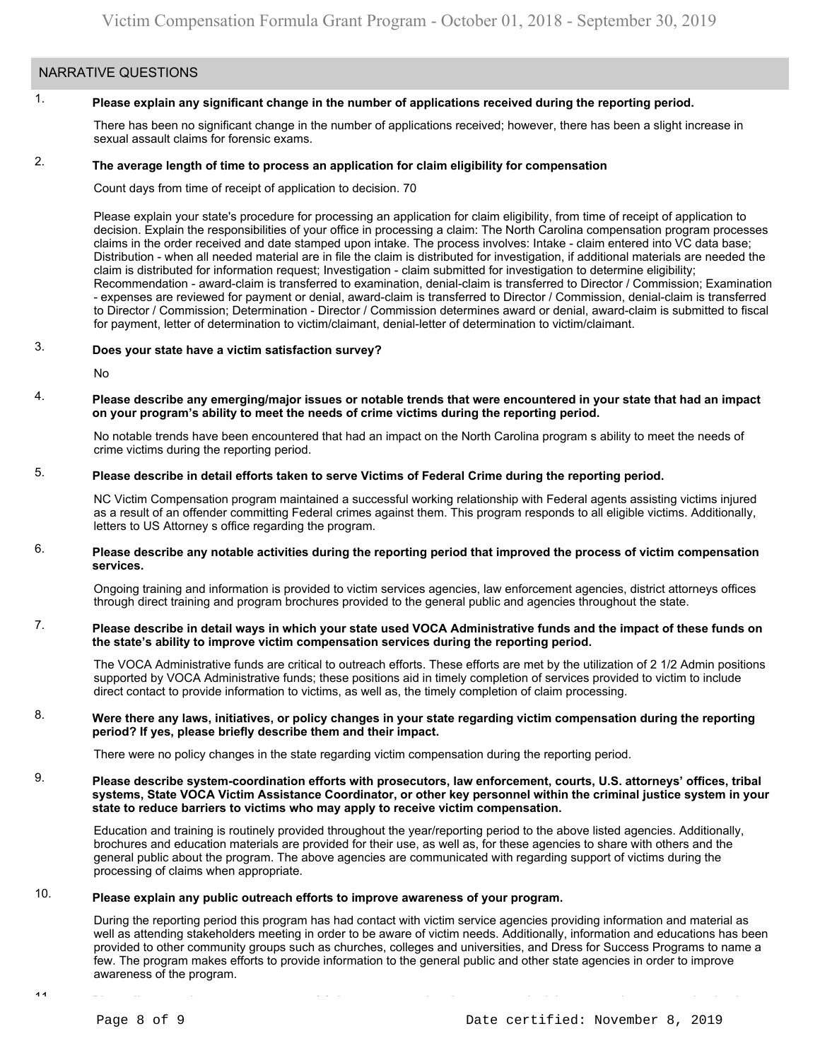### NARRATIVE QUESTIONS

#### 1. **Please explain any significant change in the number of applications received during the reporting period.**

There has been no significant change in the number of applications received; however, there has been a slight increase in sexual assault claims for forensic exams.

#### 2. **The average length of time to process an application for claim eligibility for compensation**

Count days from time of receipt of application to decision. 70

Please explain your state's procedure for processing an application for claim eligibility, from time of receipt of application to decision. Explain the responsibilities of your office in processing a claim: The North Carolina compensation program processes claims in the order received and date stamped upon intake. The process involves: Intake - claim entered into VC data base; Distribution - when all needed material are in file the claim is distributed for investigation, if additional materials are needed the claim is distributed for information request; Investigation - claim submitted for investigation to determine eligibility; Recommendation - award-claim is transferred to examination, denial-claim is transferred to Director / Commission; Examination - expenses are reviewed for payment or denial, award-claim is transferred to Director / Commission, denial-claim is transferred to Director / Commission; Determination - Director / Commission determines award or denial, award-claim is submitted to fiscal for payment, letter of determination to victim/claimant, denial-letter of determination to victim/claimant.

#### 3. **Does your state have a victim satisfaction survey?**

No

#### 4. **Please describe any emerging/major issues or notable trends that were encountered in your state that had an impact on your program's ability to meet the needs of crime victims during the reporting period.**

No notable trends have been encountered that had an impact on the North Carolina program s ability to meet the needs of crime victims during the reporting period.

#### 5. **Please describe in detail efforts taken to serve Victims of Federal Crime during the reporting period.**

NC Victim Compensation program maintained a successful working relationship with Federal agents assisting victims injured as a result of an offender committing Federal crimes against them. This program responds to all eligible victims. Additionally, letters to US Attorney s office regarding the program.

#### 6. **Please describe any notable activities during the reporting period that improved the process of victim compensation services.**

Ongoing training and information is provided to victim services agencies, law enforcement agencies, district attorneys offices through direct training and program brochures provided to the general public and agencies throughout the state.

#### 7. **Please describe in detail ways in which your state used VOCA Administrative funds and the impact of these funds on the state's ability to improve victim compensation services during the reporting period.**

The VOCA Administrative funds are critical to outreach efforts. These efforts are met by the utilization of 2 1/2 Admin positions supported by VOCA Administrative funds; these positions aid in timely completion of services provided to victim to include direct contact to provide information to victims, as well as, the timely completion of claim processing.

#### 8. **Were there any laws, initiatives, or policy changes in your state regarding victim compensation during the reporting period? If yes, please briefly describe them and their impact.**

There were no policy changes in the state regarding victim compensation during the reporting period.

#### 9. **Please describe system-coordination efforts with prosecutors, law enforcement, courts, U.S. attorneys' offices, tribal systems, State VOCA Victim Assistance Coordinator, or other key personnel within the criminal justice system in your state to reduce barriers to victims who may apply to receive victim compensation.**

Education and training is routinely provided throughout the year/reporting period to the above listed agencies. Additionally, brochures and education materials are provided for their use, as well as, for these agencies to share with others and the general public about the program. The above agencies are communicated with regarding support of victims during the processing of claims when appropriate.

#### 10. **Please explain any public outreach efforts to improve awareness of your program.**

During the reporting period this program has had contact with victim service agencies providing information and material as well as attending stakeholders meeting in order to be aware of victim needs. Additionally, information and educations has been provided to other community groups such as churches, colleges and universities, and Dress for Success Programs to name a few. The program makes efforts to provide information to the general public and other state agencies in order to improve awareness of the program.

 $\overline{1}$